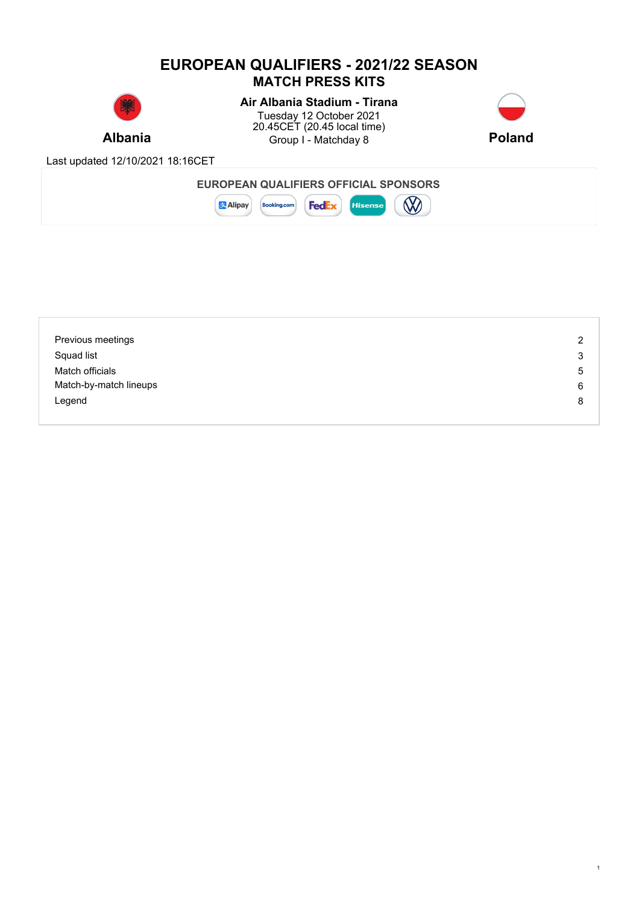# **EUROPEAN QUALIFIERS - 2021/22 SEASON MATCH PRESS KITS**



# **Air Albania Stadium - Tirana**

**Albania Example 3** Group I - Matchday 8 **Poland Poland** Tuesday 12 October 2021 20.45CET (20.45 local time)



1

Last updated 12/10/2021 18:16CET



| Previous meetings      | 2 |
|------------------------|---|
| Squad list             | 3 |
| Match officials        | 5 |
| Match-by-match lineups | 6 |
| Legend                 | 8 |
|                        |   |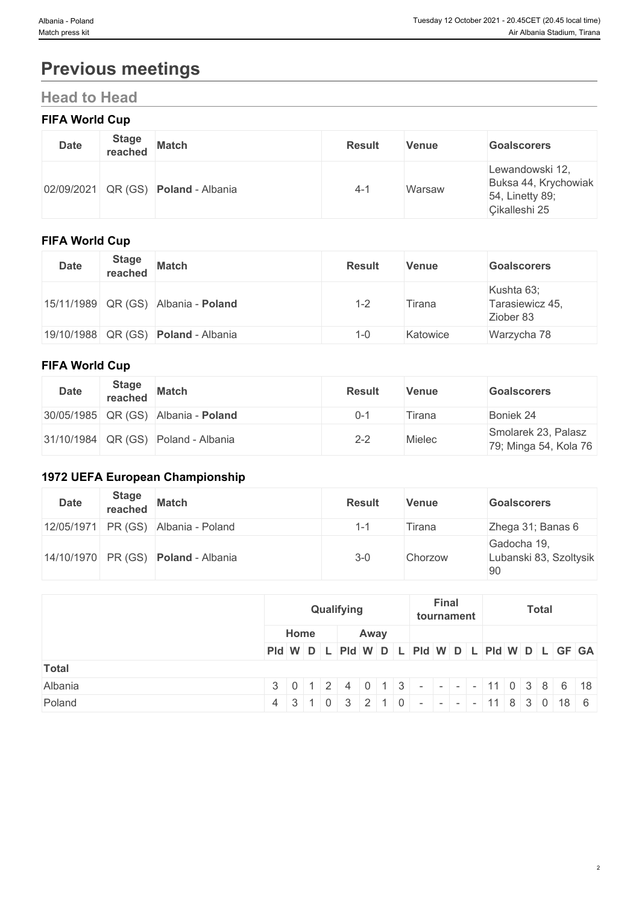# **Previous meetings**

# **Head to Head**

### **FIFA World Cup**

| <b>Date</b> | <b>Stage</b><br>reached | <b>Match</b>                        | <b>Result</b> | <b>Venue</b> | <b>Goalscorers</b>                                                          |
|-------------|-------------------------|-------------------------------------|---------------|--------------|-----------------------------------------------------------------------------|
|             |                         | 02/09/2021 QR (GS) Poland - Albania | 4-1           | Warsaw       | Lewandowski 12,<br>Buksa 44, Krychowiak<br>54, Linetty 89;<br>Cikalleshi 25 |

### **FIFA World Cup**

| <b>Date</b> | <b>Stage</b> | reached Match                              | <b>Result</b> | <b>Venue</b> | <b>Goalscorers</b>                         |
|-------------|--------------|--------------------------------------------|---------------|--------------|--------------------------------------------|
|             |              | 15/11/1989 QR (GS) Albania - Poland        | 1-2           | Tirana       | Kushta 63;<br>Tarasiewicz 45,<br>Ziober 83 |
|             |              | 19/10/1988 QR (GS) <b>Poland</b> - Albania | 1-0           | Katowice     | Warzycha 78                                |

#### **FIFA World Cup**

| <b>Date</b> | <b>Stage</b><br>reached | <b>Match</b>                            | <b>Result</b> | Venue  | <b>Goalscorers</b>                           |
|-------------|-------------------------|-----------------------------------------|---------------|--------|----------------------------------------------|
|             |                         | 30/05/1985 QR (GS) Albania - Poland     | $0 - 1$       | lirana | Boniek 24                                    |
|             |                         | $ 31/10/1984 $ QR (GS) Poland - Albania | $2 - 2$       | Mielec | Smolarek 23, Palasz<br>79; Minga 54, Kola 76 |

### **1972 UEFA European Championship**

| <b>Date</b> | <b>Stage</b><br>reached | <b>Match</b>                        | <b>Result</b> | <b>Venue</b> | <b>Goalscorers</b>                          |
|-------------|-------------------------|-------------------------------------|---------------|--------------|---------------------------------------------|
|             |                         | 12/05/1971 PR (GS) Albania - Poland | $-1$          | Firana       | Zhega 31; Banas 6                           |
|             |                         | 14/10/1970 PR (GS) Poland - Albania | $3 - 0$       | Chorzow      | Gadocha 19,<br>Lubanski 83, Szoltysik<br>90 |

|              | Qualifying                                    |  |  |  |  |      | <b>Final</b><br>tournament |  |  |  | <b>Total</b>                                                              |  |  |  |  |  |
|--------------|-----------------------------------------------|--|--|--|--|------|----------------------------|--|--|--|---------------------------------------------------------------------------|--|--|--|--|--|
|              | Home                                          |  |  |  |  | Away |                            |  |  |  |                                                                           |  |  |  |  |  |
|              | PId W D L PId W D L PId W D L PId W D L GF GA |  |  |  |  |      |                            |  |  |  |                                                                           |  |  |  |  |  |
| <b>Total</b> |                                               |  |  |  |  |      |                            |  |  |  |                                                                           |  |  |  |  |  |
| Albania      |                                               |  |  |  |  |      |                            |  |  |  | $3   0   1   2   4   0   1   3   -   -   -   11   0   3   8   6   18  $   |  |  |  |  |  |
| Poland       |                                               |  |  |  |  |      |                            |  |  |  | $4$   3   1   0   3   2   1   0   -   -   -   -   11   8   3   0   18   6 |  |  |  |  |  |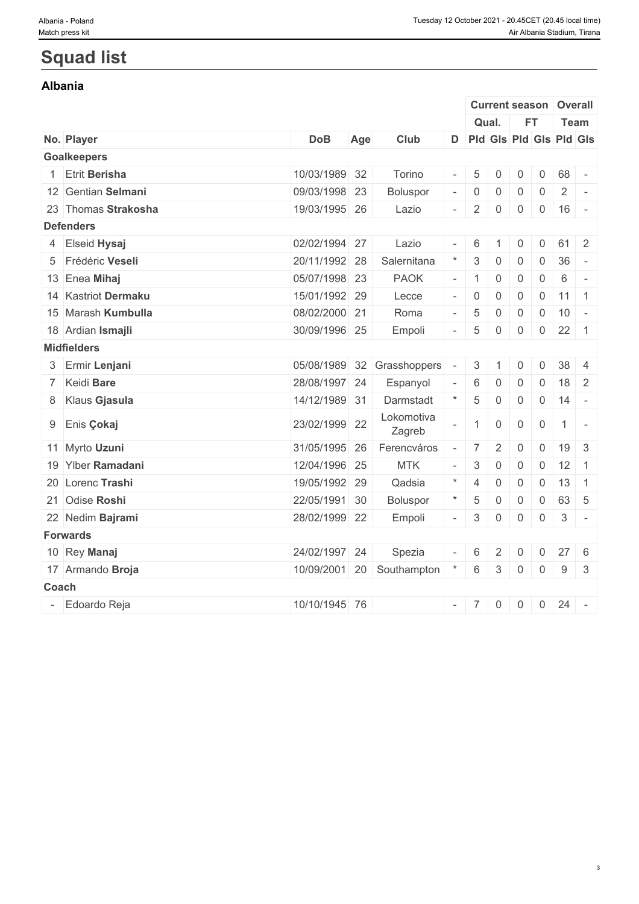3

# **Squad list**

### **Albania**

|                    |                      |               |     |                           |                          | <b>Current season Overall</b> |                |                |                |                    |              |
|--------------------|----------------------|---------------|-----|---------------------------|--------------------------|-------------------------------|----------------|----------------|----------------|--------------------|--------------|
|                    |                      |               |     |                           |                          | Qual.                         |                | <b>FT</b>      |                | Team               |              |
| No. Player         |                      | <b>DoB</b>    | Age | Club                      |                          | D Pld Gls Pld Gls Pld Gls     |                |                |                |                    |              |
| <b>Goalkeepers</b> |                      |               |     |                           |                          |                               |                |                |                |                    |              |
|                    | <b>Etrit Berisha</b> | 10/03/1989 32 |     | Torino                    |                          | 5                             | $\mathbf{0}$   | 0              | $\mathbf 0$    | 68                 |              |
|                    | 12 Gentian Selmani   | 09/03/1998 23 |     | Boluspor                  |                          | $\overline{0}$                | 0              | 0              | $\overline{0}$ | $\overline{2}$     | $\sim$       |
|                    | 23 Thomas Strakosha  | 19/03/1995 26 |     | Lazio                     | $\overline{\phantom{a}}$ | 2                             | 0              | $\overline{0}$ |                | $0 \mid 16$ -      |              |
| <b>Defenders</b>   |                      |               |     |                           |                          |                               |                |                |                |                    |              |
|                    | 4 Elseid Hysaj       | 02/02/1994 27 |     | Lazio                     |                          | 6                             |                | 0              | $\mathbf{0}$   | 61                 | 2            |
|                    | 5 Frédéric Veseli    | 20/11/1992 28 |     | Salernitana               |                          | 3                             | 0              | 0              | $\overline{0}$ | 36                 | $\sim$       |
|                    | 13 Enea Mihaj        | 05/07/1998 23 |     | <b>PAOK</b>               |                          | $\vert$ 1                     | $\mathbf 0$    | $\mathsf{O}$   | $\overline{0}$ | 6                  | $\sim$       |
|                    | 14 Kastriot Dermaku  | 15/01/1992 29 |     | Lecce                     |                          |                               | $\overline{0}$ | $\overline{0}$ |                | $0 \mid 11 \mid 1$ |              |
|                    | 15 Marash Kumbulla   | 08/02/2000 21 |     | Roma                      |                          | $5\phantom{.0}$               | $\mathbf 0$    | $\mathbf 0$    | $\overline{0}$ | $10 -$             |              |
|                    | 18 Ardian Ismajli    | 30/09/1996 25 |     | Empoli                    |                          | $\sqrt{5}$                    | $\overline{0}$ | $\overline{0}$ | $\overline{0}$ | $22 \quad 1$       |              |
| <b>Midfielders</b> |                      |               |     |                           |                          |                               |                |                |                |                    |              |
|                    | 3 Ermir Lenjani      | 05/08/1989 32 |     | Grasshoppers              | $\overline{\phantom{a}}$ | 3                             | $\overline{1}$ | 0              | 0              | $38 \mid 4$        |              |
|                    | 7 Keidi Bare         | 28/08/1997 24 |     | Espanyol                  |                          | 6                             | $\mathbf 0$    | 0              | $\mathbf 0$    | $18 \mid 2$        |              |
|                    | 8 Klaus Gjasula      | 14/12/1989 31 |     | Darmstadt                 |                          | 5                             | $\overline{0}$ | $\mathsf{O}$   |                | $0 \mid 14 \mid -$ |              |
|                    | 9 Enis Çokaj         | 23/02/1999 22 |     | Lokomotiva<br>Zagreb      |                          | $\mathbf{1}$                  | $\overline{0}$ | $\overline{0}$ | $\overline{0}$ | $1$ -              |              |
|                    | 11 Myrto Uzuni       | 31/05/1995 26 |     | Ferencváros               |                          | 7                             | 2              | 0              | $\mathbf{0}$   | $19 \mid 3$        |              |
|                    | 19 Ylber Ramadani    | 12/04/1996 25 |     | <b>MTK</b>                |                          | $\mathbf{3}$                  | $\mathbf 0$    | $\mathbf 0$    | $\overline{0}$ | $12 \mid 1$        |              |
|                    | 20 Lorenc Trashi     | 19/05/1992 29 |     | Qadsia                    |                          | $\overline{4}$                | $\mathbf 0$    | $\mathsf{O}$   | $\overline{0}$ | $13 \quad 1$       |              |
|                    | 21 Odise Roshi       | 22/05/1991 30 |     | Boluspor                  |                          | $\sqrt{5}$                    | $\overline{0}$ | $\overline{0}$ | $\overline{0}$ | 63 5               |              |
|                    | 22 Nedim Bajrami     | 28/02/1999 22 |     | Empoli                    |                          | 3                             | $\overline{0}$ | $\overline{0}$ | $\overline{0}$ | $3$ -              |              |
| <b>Forwards</b>    |                      |               |     |                           |                          |                               |                |                |                |                    |              |
|                    | 10 Rey Manaj         | 24/02/1997 24 |     | Spezia                    |                          | 6                             | 2              | 0              | $\mathbf 0$    | $27 \quad 6$       |              |
|                    | 17 Armando Broja     |               |     | 10/09/2001 20 Southampton |                          | 6                             | 3              | $\overline{0}$ | $\overline{0}$ | 9                  | $\mathbf{3}$ |
| Coach              |                      |               |     |                           |                          |                               |                |                |                |                    |              |
|                    | Edoardo Reja         | 10/10/1945 76 |     |                           |                          | $- 7$                         | $\overline{0}$ | $\overline{0}$ |                | $0 \ 24$ -         |              |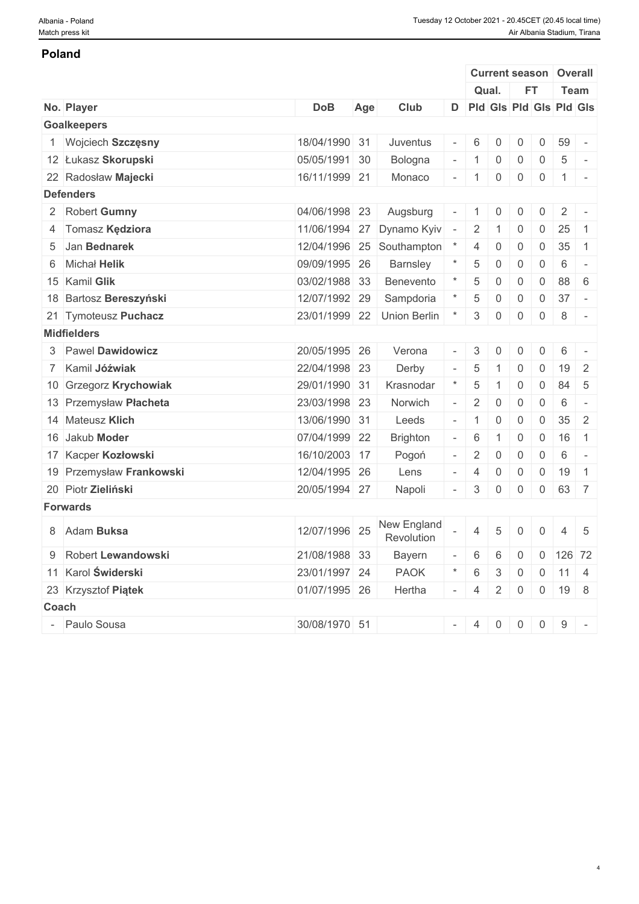#### **Poland**

|                          |               |     |                            |                          |                |                | <b>Current season</b>     |                | Overall            |                          |
|--------------------------|---------------|-----|----------------------------|--------------------------|----------------|----------------|---------------------------|----------------|--------------------|--------------------------|
|                          |               |     |                            |                          |                | Qual.          | <b>FT</b>                 |                | Team               |                          |
| No. Player               | <b>DoB</b>    | Age | Club                       |                          |                |                | D Pld Gis Pld Gis Pld Gis |                |                    |                          |
| <b>Goalkeepers</b>       |               |     |                            |                          |                |                |                           |                |                    |                          |
| Wojciech Szczęsny        | 18/04/1990 31 |     | Juventus                   |                          | 6              | $\Omega$       | 0                         | $\mathsf{O}$   | 59                 |                          |
| 12 Łukasz Skorupski      | 05/05/1991 30 |     | Bologna                    | $\overline{\phantom{a}}$ |                | $\overline{0}$ | $\mathbf 0$               | $\overline{0}$ | $5\phantom{.0}$    |                          |
| 22 Radosław Majecki      | 16/11/1999 21 |     | Monaco                     |                          | $-1$           | $\mathbf 0$    | $\overline{0}$            | $\overline{0}$ | $1$ -              |                          |
| <b>Defenders</b>         |               |     |                            |                          |                |                |                           |                |                    |                          |
| 2 Robert Gumny           | 04/06/1998 23 |     | Augsburg                   | $\overline{\phantom{a}}$ |                | $\overline{0}$ | 0                         | 0              | $\overline{2}$     |                          |
| 4 Tomasz Kędziora        | 11/06/1994    | 27  | Dynamo Kyiv                | $\overline{\phantom{a}}$ | $\overline{2}$ |                | $\overline{0}$            | 0              | 25                 | $\overline{1}$           |
| 5 Jan Bednarek           | 12/04/1996 25 |     | Southampton                |                          | 4              | $\overline{0}$ | $\mathbf 0$               | $\overline{0}$ | 35                 | $\overline{1}$           |
| 6 Michał Helik           | 09/09/1995 26 |     | <b>Barnsley</b>            |                          | 5              | $\Omega$       | $\mathbf{0}$              | $\overline{0}$ | 6                  | $\overline{\phantom{a}}$ |
| 15 Kamil Glik            | 03/02/1988 33 |     | Benevento                  |                          | 5              | $\Omega$       | $\mathbf 0$               | $\mathbf{0}$   | 88                 | - 6                      |
| 18 Bartosz Bereszyński   | 12/07/1992 29 |     | Sampdoria                  |                          | 5              | $\overline{0}$ | $\mathbf 0$               | $\overline{0}$ | 37                 | $\sim$                   |
| 21 Tymoteusz Puchacz     |               |     | 23/01/1999 22 Union Berlin | $\star$                  | 3              | $\overline{0}$ | $\overline{0}$            | $\overline{0}$ | 8                  | $\overline{\phantom{a}}$ |
| <b>Midfielders</b>       |               |     |                            |                          |                |                |                           |                |                    |                          |
| 3 Pawel Dawidowicz       | 20/05/1995 26 |     | Verona                     | $\overline{\phantom{a}}$ | 3              | $\Omega$       | $\mathbf{0}$              | $\mathbf 0$    | 6                  | $\overline{\phantom{a}}$ |
| 7 Kamil Jóźwiak          | 22/04/1998 23 |     | Derby                      |                          | -5             |                | 0                         | 0              | 19                 | $\overline{2}$           |
| 10 Grzegorz Krychowiak   | 29/01/1990 31 |     | Krasnodar                  |                          | 5              |                | $\mathbf 0$               | $\overline{0}$ | 84                 | $5\overline{5}$          |
| 13 Przemysław Płacheta   | 23/03/1998 23 |     | Norwich                    |                          | 2              | $\overline{0}$ | $\mathbf 0$               | $\overline{0}$ | 6                  | $\overline{\phantom{a}}$ |
| 14 Mateusz Klich         | 13/06/1990 31 |     | Leeds                      |                          |                | $\Omega$       | $\mathbf 0$               | $\mathsf{O}$   | 35                 | $\overline{2}$           |
| 16 Jakub Moder           | 07/04/1999 22 |     | <b>Brighton</b>            |                          | 6              |                | $\mathbf 0$               | $\mathsf{O}$   | 16                 | $\overline{1}$           |
| 17 Kacper Kozłowski      | 16/10/2003 17 |     | Pogoń                      | $\overline{\phantom{a}}$ | 2              | $\overline{0}$ | $\mathbf 0$               | $\mathbf{0}$   | 6                  | $\sim$                   |
| 19 Przemysław Frankowski | 12/04/1995 26 |     | Lens                       |                          | $\overline{4}$ | 0              | $\overline{0}$            | $\overline{0}$ | 19                 | $\overline{1}$           |
| 20 Piotr Zieliński       | 20/05/1994 27 |     | Napoli                     |                          | 3              | 0              | $\mathbf 0$               | $\overline{0}$ | 63 7               |                          |
| <b>Forwards</b>          |               |     |                            |                          |                |                |                           |                |                    |                          |
| 8 Adam Buksa             | 12/07/1996 25 |     | New England<br>Revolution  |                          | $\overline{4}$ | 5              | $\mathbf 0$               | $\mathbf{0}$   | 4                  | 5                        |
| 9 Robert Lewandowski     | 21/08/1988 33 |     | <b>Bayern</b>              |                          | 6              | 6              | $\overline{0}$            |                | $0$ 126 72         |                          |
| 11 Karol Świderski       | 23/01/1997 24 |     | <b>PAOK</b>                |                          | 6              | 3              | $\overline{0}$            |                | $0 \mid 11 \mid 4$ |                          |
| 23 Krzysztof Piątek      | 01/07/1995 26 |     | Hertha                     |                          | $-4$           | $\overline{2}$ | $\overline{0}$            |                | $0$ 19 8           |                          |
|                          |               |     |                            |                          |                |                |                           |                |                    |                          |
| Coach                    |               |     |                            |                          |                |                |                           |                |                    |                          |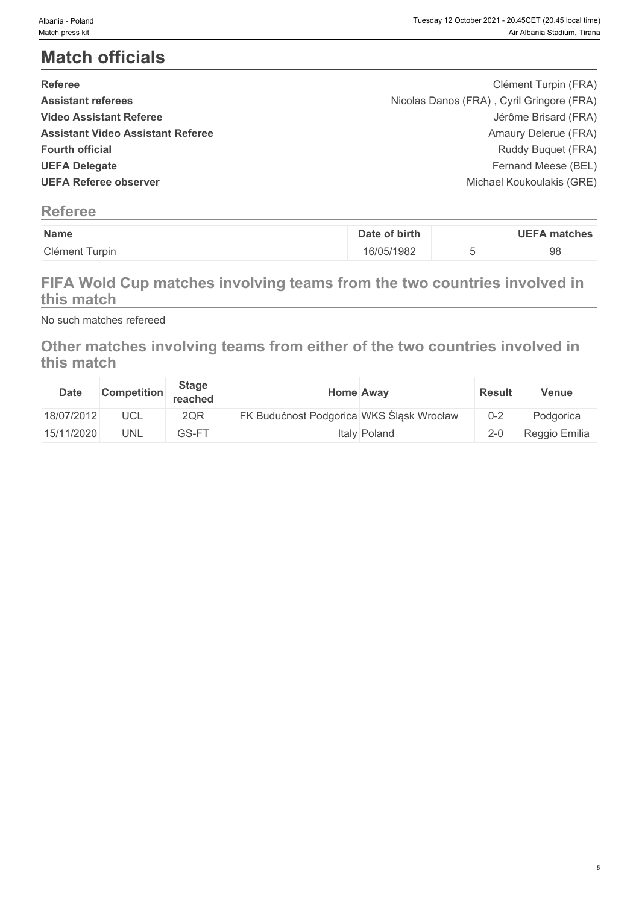5

# **Match officials**

| Nicolas Danos (FRA), Cyril Gringore (FRA)<br><b>Assistant referees</b><br>Jérôme Brisard (FRA)<br><b>Video Assistant Referee</b> |
|----------------------------------------------------------------------------------------------------------------------------------|
|                                                                                                                                  |
|                                                                                                                                  |
| <b>Assistant Video Assistant Referee</b><br>Amaury Delerue (FRA)                                                                 |
| <b>Fourth official</b><br>Ruddy Buquet (FRA)                                                                                     |
| Fernand Meese (BEL)<br><b>UEFA Delegate</b>                                                                                      |
| <b>UEFA Referee observer</b><br>Michael Koukoulakis (GRE)                                                                        |

# **Referee**

| Name                   | of birth<br>Jate | <b>UEFA</b><br>matches ، |
|------------------------|------------------|--------------------------|
| Clément T<br>nt Turpin | 16/05/1982       | 98                       |

# **FIFA Wold Cup matches involving teams from the two countries involved in this match**

No such matches refereed

# **Other matches involving teams from either of the two countries involved in this match**

| <b>Date</b> | <b>Competition</b> | <b>Stage</b><br>reached | <b>Home Away</b>                         | <b>Result</b> | Venue         |
|-------------|--------------------|-------------------------|------------------------------------------|---------------|---------------|
| 18/07/2012  | UCL                | 2QR                     | FK Budućnost Podgorica WKS Śląsk Wrocław | $0 - 2$       | Podgorica     |
| 15/11/2020  | UNL                | GS-FT                   | Italy Poland                             | $2 - 0$       | Reggio Emilia |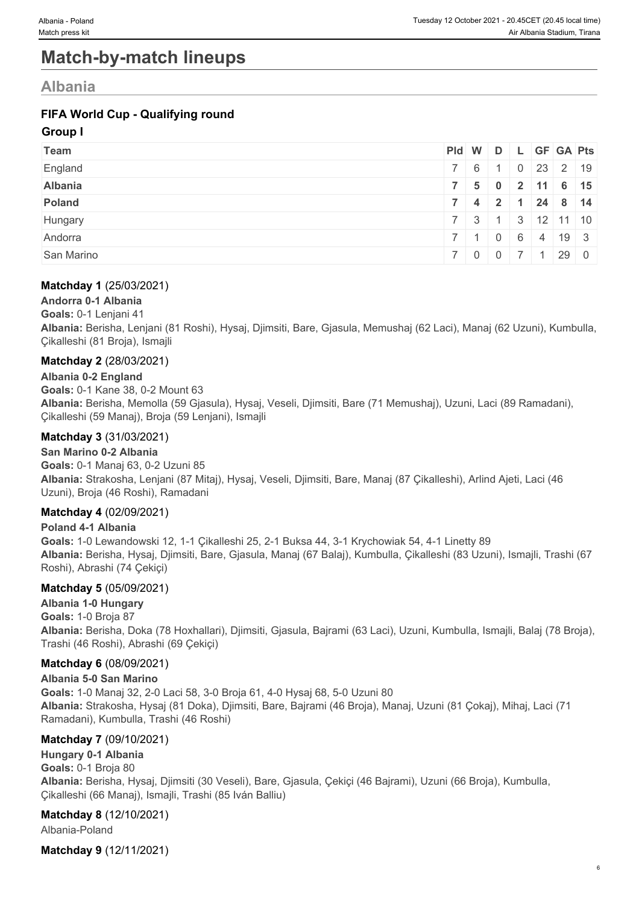# **Match-by-match lineups**

# **Albania**

### **FIFA World Cup - Qualifying round**

#### **Group I**

| Team       |                             |                |  | Pid W D L GF GA Pts              |  |
|------------|-----------------------------|----------------|--|----------------------------------|--|
| England    | $7 \t6 \t1$                 |                |  | $\frac{1}{10}$   0   23   2   19 |  |
| Albania    |                             |                |  | 7 5 0 2 11 6 15                  |  |
| Poland     | $7 \quad 4 \quad 2 \quad 1$ |                |  | $24 \quad 8 \quad 14$            |  |
| Hungary    | $\sim$ 3                    |                |  | 3   12   11   10                 |  |
| Andorra    | $\sim$ $\sim$ $\sim$        | $\overline{0}$ |  | 6 4 19 3                         |  |
| San Marino |                             |                |  | 290                              |  |

#### **Matchday 1** (25/03/2021)

**Andorra 0-1 Albania**

**Goals:** 0-1 Lenjani 41

**Albania:** Berisha, Lenjani (81 Roshi), Hysaj, Djimsiti, Bare, Gjasula, Memushaj (62 Laci), Manaj (62 Uzuni), Kumbulla, Çikalleshi (81 Broja), Ismajli

#### **Matchday 2** (28/03/2021)

**Albania 0-2 England**

**Goals:** 0-1 Kane 38, 0-2 Mount 63 **Albania:** Berisha, Memolla (59 Gjasula), Hysaj, Veseli, Djimsiti, Bare (71 Memushaj), Uzuni, Laci (89 Ramadani), Çikalleshi (59 Manaj), Broja (59 Lenjani), Ismajli

#### **Matchday 3** (31/03/2021)

**San Marino 0-2 Albania Goals:** 0-1 Manaj 63, 0-2 Uzuni 85 **Albania:** Strakosha, Lenjani (87 Mitaj), Hysaj, Veseli, Djimsiti, Bare, Manaj (87 Çikalleshi), Arlind Ajeti, Laci (46 Uzuni), Broja (46 Roshi), Ramadani

#### **Matchday 4** (02/09/2021)

**Poland 4-1 Albania Goals:** 1-0 Lewandowski 12, 1-1 Çikalleshi 25, 2-1 Buksa 44, 3-1 Krychowiak 54, 4-1 Linetty 89 **Albania:** Berisha, Hysaj, Djimsiti, Bare, Gjasula, Manaj (67 Balaj), Kumbulla, Çikalleshi (83 Uzuni), Ismajli, Trashi (67 Roshi), Abrashi (74 Çekiçi)

#### **Matchday 5** (05/09/2021)

**Albania 1-0 Hungary Goals:** 1-0 Broja 87 **Albania:** Berisha, Doka (78 Hoxhallari), Djimsiti, Gjasula, Bajrami (63 Laci), Uzuni, Kumbulla, Ismajli, Balaj (78 Broja), Trashi (46 Roshi), Abrashi (69 Çekiçi)

#### **Matchday 6** (08/09/2021)

**Albania 5-0 San Marino**

**Goals:** 1-0 Manaj 32, 2-0 Laci 58, 3-0 Broja 61, 4-0 Hysaj 68, 5-0 Uzuni 80 **Albania:** Strakosha, Hysaj (81 Doka), Djimsiti, Bare, Bajrami (46 Broja), Manaj, Uzuni (81 Çokaj), Mihaj, Laci (71 Ramadani), Kumbulla, Trashi (46 Roshi)

#### **Matchday 7** (09/10/2021)

**Hungary 0-1 Albania Goals:** 0-1 Broja 80 **Albania:** Berisha, Hysaj, Djimsiti (30 Veseli), Bare, Gjasula, Çekiçi (46 Bajrami), Uzuni (66 Broja), Kumbulla, Çikalleshi (66 Manaj), Ismajli, Trashi (85 Iván Balliu)

#### **Matchday 8** (12/10/2021)

Albania-Poland

**Matchday 9** (12/11/2021)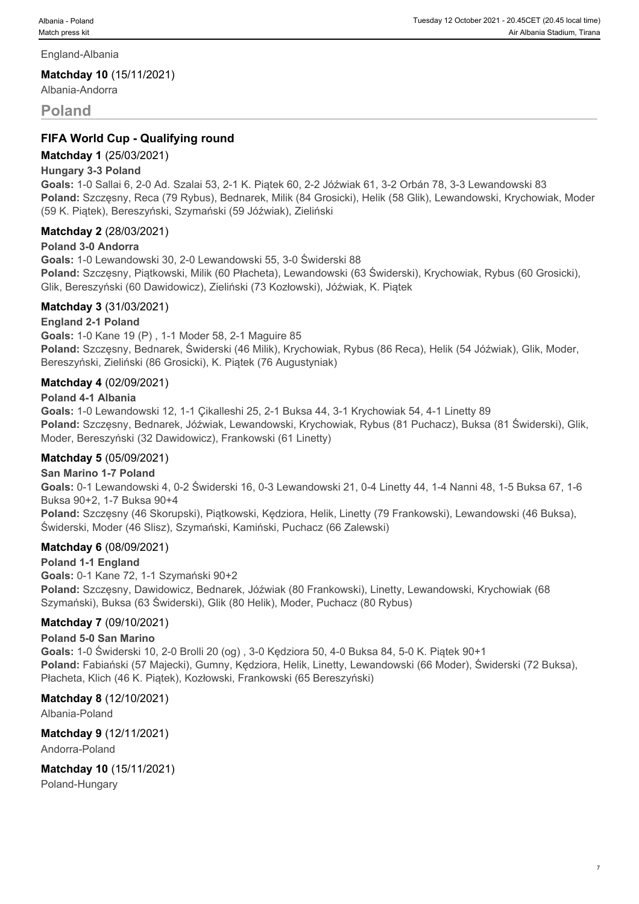England-Albania

**Matchday 10** (15/11/2021)

Albania-Andorra

#### **Poland**

#### **FIFA World Cup - Qualifying round**

#### **Matchday 1** (25/03/2021)

#### **Hungary 3-3 Poland**

**Goals:** 1-0 Sallai 6, 2-0 Ad. Szalai 53, 2-1 K. Piątek 60, 2-2 Jóźwiak 61, 3-2 Orbán 78, 3-3 Lewandowski 83 **Poland:** Szczęsny, Reca (79 Rybus), Bednarek, Milik (84 Grosicki), Helik (58 Glik), Lewandowski, Krychowiak, Moder (59 K. Piątek), Bereszyński, Szymański (59 Jóźwiak), Zieliński

#### **Matchday 2** (28/03/2021)

#### **Poland 3-0 Andorra**

**Goals:** 1-0 Lewandowski 30, 2-0 Lewandowski 55, 3-0 Świderski 88 **Poland:** Szczęsny, Piątkowski, Milik (60 Płacheta), Lewandowski (63 Świderski), Krychowiak, Rybus (60 Grosicki), Glik, Bereszyński (60 Dawidowicz), Zieliński (73 Kozłowski), Jóźwiak, K. Piątek

#### **Matchday 3** (31/03/2021)

#### **England 2-1 Poland**

**Goals:** 1-0 Kane 19 (P) , 1-1 Moder 58, 2-1 Maguire 85 **Poland:** Szczęsny, Bednarek, Świderski (46 Milik), Krychowiak, Rybus (86 Reca), Helik (54 Jóźwiak), Glik, Moder, Bereszyński, Zieliński (86 Grosicki), K. Piątek (76 Augustyniak)

#### **Matchday 4** (02/09/2021)

#### **Poland 4-1 Albania**

**Goals:** 1-0 Lewandowski 12, 1-1 Çikalleshi 25, 2-1 Buksa 44, 3-1 Krychowiak 54, 4-1 Linetty 89 **Poland:** Szczęsny, Bednarek, Jóźwiak, Lewandowski, Krychowiak, Rybus (81 Puchacz), Buksa (81 Świderski), Glik, Moder, Bereszyński (32 Dawidowicz), Frankowski (61 Linetty)

#### **Matchday 5** (05/09/2021)

#### **San Marino 1-7 Poland**

**Goals:** 0-1 Lewandowski 4, 0-2 Świderski 16, 0-3 Lewandowski 21, 0-4 Linetty 44, 1-4 Nanni 48, 1-5 Buksa 67, 1-6 Buksa 90+2, 1-7 Buksa 90+4

**Poland:** Szczęsny (46 Skorupski), Piątkowski, Kędziora, Helik, Linetty (79 Frankowski), Lewandowski (46 Buksa), Świderski, Moder (46 Slisz), Szymański, Kamiński, Puchacz (66 Zalewski)

#### **Matchday 6** (08/09/2021)

#### **Poland 1-1 England**

**Goals:** 0-1 Kane 72, 1-1 Szymański 90+2 **Poland:** Szczęsny, Dawidowicz, Bednarek, Jóźwiak (80 Frankowski), Linetty, Lewandowski, Krychowiak (68 Szymański), Buksa (63 Świderski), Glik (80 Helik), Moder, Puchacz (80 Rybus)

#### **Matchday 7** (09/10/2021)

#### **Poland 5-0 San Marino**

**Goals:** 1-0 Świderski 10, 2-0 Brolli 20 (og) , 3-0 Kędziora 50, 4-0 Buksa 84, 5-0 K. Piątek 90+1 **Poland:** Fabiański (57 Majecki), Gumny, Kędziora, Helik, Linetty, Lewandowski (66 Moder), Świderski (72 Buksa), Płacheta, Klich (46 K. Piątek), Kozłowski, Frankowski (65 Bereszyński)

#### **Matchday 8** (12/10/2021)

Albania-Poland

**Matchday 9** (12/11/2021)

Andorra-Poland

**Matchday 10** (15/11/2021)

Poland-Hungary

7